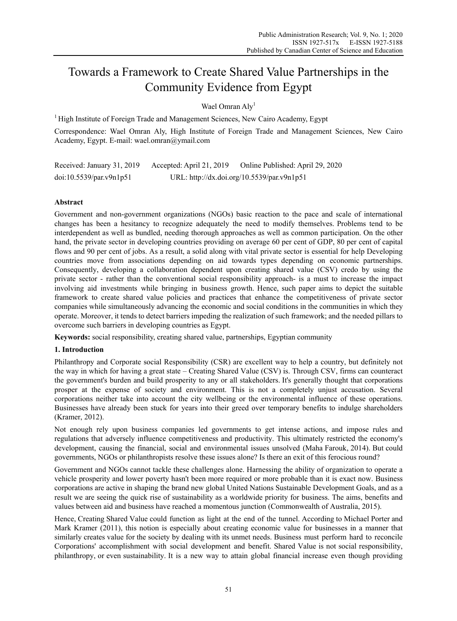# Towards a Framework to Create Shared Value Partnerships in the Community Evidence from Egypt

Wael Omran Aly<sup>1</sup>

 $<sup>1</sup>$  High Institute of Foreign Trade and Management Sciences, New Cairo Academy, Egypt</sup>

Correspondence: Wael Omran Aly, High Institute of Foreign Trade and Management Sciences, New Cairo Academy, Egypt. E-mail: wael.omran@ymail.com

Received: January 31, 2019 Accepted: April 21, 2019 Online Published: April 29, 2020 doi:10.5539/par.v9n1p51 URL: http://dx.doi.org/10.5539/par.v9n1p51

# **Abstract**

Government and non-government organizations (NGOs) basic reaction to the pace and scale of international changes has been a hesitancy to recognize adequately the need to modify themselves. Problems tend to be interdependent as well as bundled, needing thorough approaches as well as common participation. On the other hand, the private sector in developing countries providing on average 60 per cent of GDP, 80 per cent of capital flows and 90 per cent of jobs. As a result, a solid along with vital private sector is essential for help Developing countries move from associations depending on aid towards types depending on economic partnerships. Consequently, developing a collaboration dependent upon creating shared value (CSV) credo by using the private sector - rather than the conventional social responsibility approach- is a must to increase the impact involving aid investments while bringing in business growth. Hence, such paper aims to depict the suitable framework to create shared value policies and practices that enhance the competitiveness of private sector companies while simultaneously advancing the economic and social conditions in the communities in which they operate. Moreover, it tends to detect barriers impeding the realization of such framework; and the needed pillars to overcome such barriers in developing countries as Egypt.

**Keywords:** social responsibility, creating shared value, partnerships, Egyptian community

## **1. Introduction**

Philanthropy and Corporate social Responsibility (CSR) are excellent way to help a country, but definitely not the way in which for having a great state – Creating Shared Value (CSV) is. Through CSV, firms can counteract the government's burden and build prosperity to any or all stakeholders. It's generally thought that corporations prosper at the expense of society and environment. This is not a completely unjust accusation. Several corporations neither take into account the city wellbeing or the environmental influence of these operations. Businesses have already been stuck for years into their greed over temporary benefits to indulge shareholders (Kramer, 2012).

Not enough rely upon business companies led governments to get intense actions, and impose rules and regulations that adversely influence competitiveness and productivity. This ultimately restricted the economy's development, causing the financial, social and environmental issues unsolved (Maha Farouk, 2014). But could governments, NGOs or philanthropists resolve these issues alone? Is there an exit of this ferocious round?

Government and NGOs cannot tackle these challenges alone. Harnessing the ability of organization to operate a vehicle prosperity and lower poverty hasn't been more required or more probable than it is exact now. Business corporations are active in shaping the brand new global United Nations Sustainable Development Goals, and as a result we are seeing the quick rise of sustainability as a worldwide priority for business. The aims, benefits and values between aid and business have reached a momentous junction (Commonwealth of Australia, 2015).

Hence, Creating Shared Value could function as light at the end of the tunnel. According to Michael Porter and Mark Kramer (2011), this notion is especially about creating economic value for businesses in a manner that similarly creates value for the society by dealing with its unmet needs. Business must perform hard to reconcile Corporations' accomplishment with social development and benefit. Shared Value is not social responsibility, philanthropy, or even sustainability. It is a new way to attain global financial increase even though providing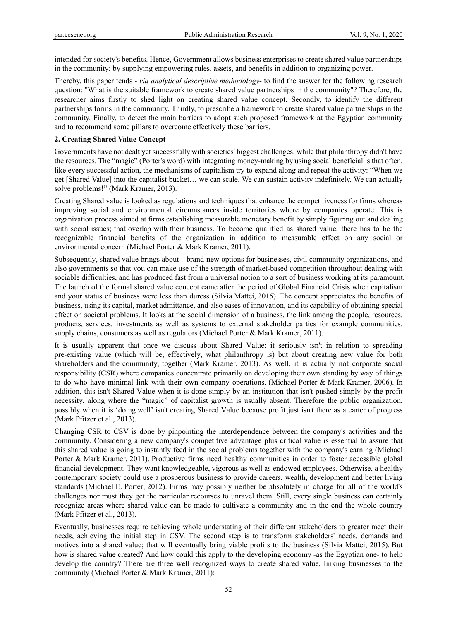intended for society's benefits. Hence, Government allows business enterprises to create shared value partnerships in the community; by supplying empowering rules, assets, and benefits in addition to organizing power.

Thereby, this paper tends - *via analytical descriptive methodology*- to find the answer for the following research question: "What is the suitable framework to create shared value partnerships in the community"? Therefore, the researcher aims firstly to shed light on creating shared value concept. Secondly, to identify the different partnerships forms in the community. Thirdly, to prescribe a framework to create shared value partnerships in the community. Finally, to detect the main barriers to adopt such proposed framework at the Egyptian community and to recommend some pillars to overcome effectively these barriers.

#### **2. Creating Shared Value Concept**

Governments have not dealt yet successfully with societies' biggest challenges; while that philanthropy didn't have the resources. The "magic" (Porter's word) with integrating money-making by using social beneficial is that often, like every successful action, the mechanisms of capitalism try to expand along and repeat the activity: "When we get [Shared Value] into the capitalist bucket… we can scale. We can sustain activity indefinitely. We can actually solve problems!" (Mark Kramer, 2013).

Creating Shared value is looked as regulations and techniques that enhance the competitiveness for firms whereas improving social and environmental circumstances inside territories where by companies operate. This is organization process aimed at firms establishing measurable monetary benefit by simply figuring out and dealing with social issues; that overlap with their business. To become qualified as shared value, there has to be the recognizable financial benefits of the organization in addition to measurable effect on any social or environmental concern (Michael Porter & Mark Kramer, 2011).

Subsequently, shared value brings about brand-new options for businesses, civil community organizations, and also governments so that you can make use of the strength of market-based competition throughout dealing with sociable difficulties, and has produced fast from a universal notion to a sort of business working at its paramount. The launch of the formal shared value concept came after the period of Global Financial Crisis when capitalism and your status of business were less than duress (Silvia Mattei, 2015). The concept appreciates the benefits of business, using its capital, market admittance, and also eases of innovation, and its capability of obtaining special effect on societal problems. It looks at the social dimension of a business, the link among the people, resources, products, services, investments as well as systems to external stakeholder parties for example communities, supply chains, consumers as well as regulators (Michael Porter & Mark Kramer, 2011).

It is usually apparent that once we discuss about Shared Value; it seriously isn't in relation to spreading pre-existing value (which will be, effectively, what philanthropy is) but about creating new value for both shareholders and the community, together (Mark Kramer, 2013). As well, it is actually not corporate social responsibility (CSR) where companies concentrate primarily on developing their own standing by way of things to do who have minimal link with their own company operations. (Michael Porter & Mark Kramer, 2006). In addition, this isn't Shared Value when it is done simply by an institution that isn't pushed simply by the profit necessity, along where the "magic" of capitalist growth is usually absent. Therefore the public organization, possibly when it is 'doing well' isn't creating Shared Value because profit just isn't there as a carter of progress (Mark Pfitzer et al., 2013).

Changing CSR to CSV is done by pinpointing the interdependence between the company's activities and the community. Considering a new company's competitive advantage plus critical value is essential to assure that this shared value is going to instantly feed in the social problems together with the company's earning (Michael Porter & Mark Kramer, 2011). Productive firms need healthy communities in order to foster accessible global financial development. They want knowledgeable, vigorous as well as endowed employees. Otherwise, a healthy contemporary society could use a prosperous business to provide careers, wealth, development and better living standards (Michael E. Porter, 2012). Firms may possibly neither be absolutely in charge for all of the world's challenges nor must they get the particular recourses to unravel them. Still, every single business can certainly recognize areas where shared value can be made to cultivate a community and in the end the whole country (Mark Pfitzer et al., 2013).

Eventually, businesses require achieving whole understating of their different stakeholders to greater meet their needs, achieving the initial step in CSV. The second step is to transform stakeholders' needs, demands and motives into a shared value; that will eventually bring viable profits to the business (Silvia Mattei, 2015). But how is shared value created? And how could this apply to the developing economy -as the Egyptian one- to help develop the country? There are three well recognized ways to create shared value, linking businesses to the community (Michael Porter & Mark Kramer, 2011):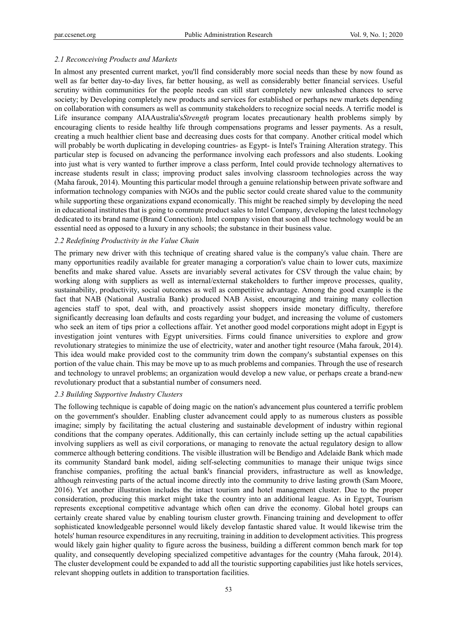## *2.1 Reconceiving Products and Markets*

In almost any presented current market, you'll find considerably more social needs than these by now found as well as far better day-to-day lives, far better housing, as well as considerably better financial services. Useful scrutiny within communities for the people needs can still start completely new unleashed chances to serve society; by Developing completely new products and services for established or perhaps new markets depending on collaboration with consumers as well as community stakeholders to recognize social needs. A terrific model is Life insurance company AIAAustralia's*Strength* program locates precautionary health problems simply by encouraging clients to reside healthy life through compensations programs and lesser payments. As a result, creating a much healthier client base and decreasing dues costs for that company. Another critical model which will probably be worth duplicating in developing countries- as Egypt- is Intel's Training Alteration strategy. This particular step is focused on advancing the performance involving each professors and also students. Looking into just what is very wanted to further improve a class perform, Intel could provide technology alternatives to increase students result in class; improving product sales involving classroom technologies across the way (Maha farouk, 2014). Mounting this particular model through a genuine relationship between private software and information technology companies with NGOs and the public sector could create shared value to the community while supporting these organizations expand economically. This might be reached simply by developing the need in educational institutes that is going to commute product sales to Intel Company, developing the latest technology dedicated to its brand name (Brand Connection). Intel company vision that soon all those technology would be an essential need as opposed to a luxury in any schools; the substance in their business value.

## *2.2 Redefining Productivity in the Value Chain*

The primary new driver with this technique of creating shared value is the company's value chain. There are many opportunities readily available for greater managing a corporation's value chain to lower cuts, maximize benefits and make shared value. Assets are invariably several activates for CSV through the value chain; by working along with suppliers as well as internal/external stakeholders to further improve processes, quality, sustainability, productivity, social outcomes as well as competitive advantage. Among the good example is the fact that NAB (National Australia Bank) produced NAB Assist, encouraging and training many collection agencies staff to spot, deal with, and proactively assist shoppers inside monetary difficulty, therefore significantly decreasing loan defaults and costs regarding your budget, and increasing the volume of customers who seek an item of tips prior a collections affair. Yet another good model corporations might adopt in Egypt is investigation joint ventures with Egypt universities. Firms could finance universities to explore and grow revolutionary strategies to minimize the use of electricity, water and another tight resource (Maha farouk, 2014). This idea would make provided cost to the community trim down the company's substantial expenses on this portion of the value chain. This may be move up to as much problems and companies. Through the use of research and technology to unravel problems; an organization would develop a new value, or perhaps create a brand-new revolutionary product that a substantial number of consumers need.

#### *2.3 Building Supportive Industry Clusters*

The following technique is capable of doing magic on the nation's advancement plus countered a terrific problem on the government's shoulder. Enabling cluster advancement could apply to as numerous clusters as possible imagine; simply by facilitating the actual clustering and sustainable development of industry within regional conditions that the company operates. Additionally, this can certainly include setting up the actual capabilities involving suppliers as well as civil corporations, or managing to renovate the actual regulatory design to allow commerce although bettering conditions. The visible illustration will be Bendigo and Adelaide Bank which made its community Standard bank model, aiding self-selecting communities to manage their unique twigs since franchise companies, profiting the actual bank's financial providers, infrastructure as well as knowledge, although reinvesting parts of the actual income directly into the community to drive lasting growth (Sam Moore, 2016). Yet another illustration includes the intact tourism and hotel management cluster. Due to the proper consideration, producing this market might take the country into an additional league. As in Egypt, Tourism represents exceptional competitive advantage which often can drive the economy. Global hotel groups can certainly create shared value by enabling tourism cluster growth. Financing training and development to offer sophisticated knowledgeable personnel would likely develop fantastic shared value. It would likewise trim the hotels' human resource expenditures in any recruiting, training in addition to development activities. This progress would likely gain higher quality to figure across the business, building a different common bench mark for top quality, and consequently developing specialized competitive advantages for the country (Maha farouk, 2014). The cluster development could be expanded to add all the touristic supporting capabilities just like hotels services, relevant shopping outlets in addition to transportation facilities.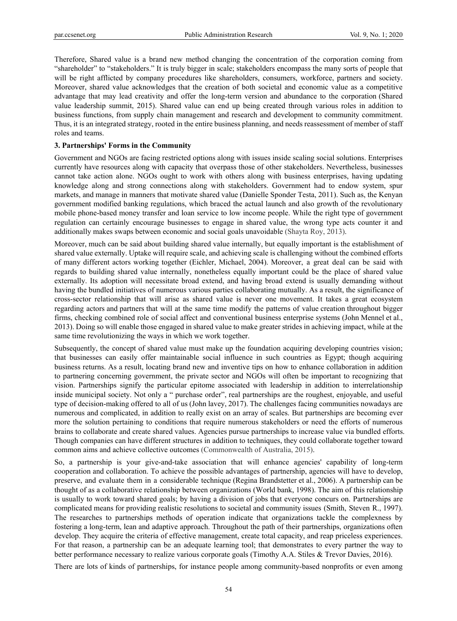Therefore, Shared value is a brand new method changing the concentration of the corporation coming from "shareholder" to "stakeholders." It is truly bigger in scale; stakeholders encompass the many sorts of people that will be right afflicted by company procedures like shareholders, consumers, workforce, partners and society. Moreover, shared value acknowledges that the creation of both societal and economic value as a competitive advantage that may lead creativity and offer the long-term version and abundance to the corporation (Shared value leadership summit, 2015). Shared value can end up being created through various roles in addition to business functions, from supply chain management and research and development to community commitment. Thus, it is an integrated strategy, rooted in the entire business planning, and needs reassessment of member of staff roles and teams.

# **3. Partnerships' Forms in the Community**

Government and NGOs are facing restricted options along with issues inside scaling social solutions. Enterprises currently have resources along with capacity that overpass those of other stakeholders. Nevertheless, businesses cannot take action alone. NGOs ought to work with others along with business enterprises, having updating knowledge along and strong connections along with stakeholders. Government had to endow system, spur markets, and manage in manners that motivate shared value (Danielle Sponder Testa, 2011). Such as, the Kenyan government modified banking regulations, which braced the actual launch and also growth of the revolutionary mobile phone-based money transfer and loan service to low income people. While the right type of government regulation can certainly encourage businesses to engage in shared value, the wrong type acts counter it and additionally makes swaps between economic and social goals unavoidable (Shayta Roy, 2013).

Moreover, much can be said about building shared value internally, but equally important is the establishment of shared value externally. Uptake will require scale, and achieving scale is challenging without the combined efforts of many different actors working together (Eichler, Michael, 2004). Moreover, a great deal can be said with regards to building shared value internally, nonetheless equally important could be the place of shared value externally. Its adoption will necessitate broad extend, and having broad extend is usually demanding without having the bundled initiatives of numerous various parties collaborating mutually. As a result, the significance of cross-sector relationship that will arise as shared value is never one movement. It takes a great ecosystem regarding actors and partners that will at the same time modify the patterns of value creation throughout bigger firms, checking combined role of social affect and conventional business enterprise systems (John Mennel et al., 2013). Doing so will enable those engaged in shared value to make greater strides in achieving impact, while at the same time revolutionizing the ways in which we work together.

Subsequently, the concept of shared value must make up the foundation acquiring developing countries vision; that businesses can easily offer maintainable social influence in such countries as Egypt; though acquiring business returns. As a result, locating brand new and inventive tips on how to enhance collaboration in addition to partnering concerning government, the private sector and NGOs will often be important to recognizing that vision. Partnerships signify the particular epitome associated with leadership in addition to interrelationship inside municipal society. Not only a " purchase order", real partnerships are the roughest, enjoyable, and useful type of decision-making offered to all of us (John lavey, 2017). The challenges facing communities nowadays are numerous and complicated, in addition to really exist on an array of scales. But partnerships are becoming ever more the solution pertaining to conditions that require numerous stakeholders or need the efforts of numerous brains to collaborate and create shared values. Agencies pursue partnerships to increase value via bundled efforts. Though companies can have different structures in addition to techniques, they could collaborate together toward common aims and achieve collective outcomes (Commonwealth of Australia, 2015).

So, a partnership is your give-and-take association that will enhance agencies' capability of long-term cooperation and collaboration. To achieve the possible advantages of partnership, agencies will have to develop, preserve, and evaluate them in a considerable technique (Regina Brandstetter et al., 2006). A partnership can be thought of as a collaborative relationship between organizations (World bank, 1998). The aim of this relationship is usually to work toward shared goals; by having a division of jobs that everyone concurs on. Partnerships are complicated means for providing realistic resolutions to societal and community issues (Smith, Steven R., 1997). The researches to partnerships methods of operation indicate that organizations tackle the complexness by fostering a long-term, lean and adaptive approach. Throughout the path of their partnerships, organizations often develop. They acquire the criteria of effective management, create total capacity, and reap priceless experiences. For that reason, a partnership can be an adequate learning tool; that demonstrates to every partner the way to better performance necessary to realize various corporate goals (Timothy A.A. Stiles & Trevor Davies, 2016).

There are lots of kinds of partnerships, for instance people among community-based nonprofits or even among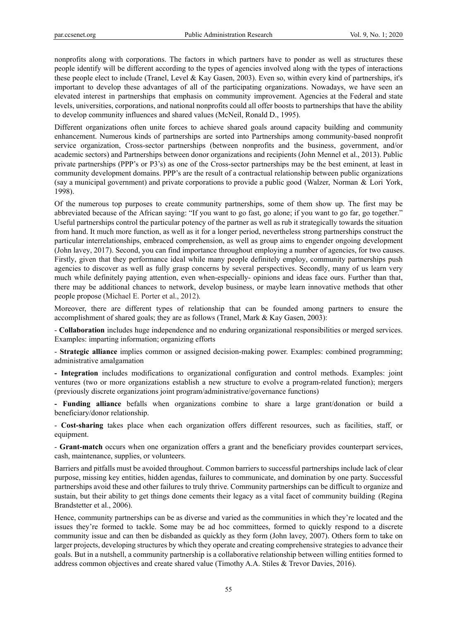nonprofits along with corporations. The factors in which partners have to ponder as well as structures these people identify will be different according to the types of agencies involved along with the types of interactions these people elect to include (Tranel, Level & Kay Gasen, 2003). Even so, within every kind of partnerships, it's important to develop these advantages of all of the participating organizations. Nowadays, we have seen an elevated interest in partnerships that emphasis on community improvement. Agencies at the Federal and state levels, universities, corporations, and national nonprofits could all offer boosts to partnerships that have the ability to develop community influences and shared values (McNeil, Ronald D., 1995).

Different organizations often unite forces to achieve shared goals around capacity building and community enhancement. Numerous kinds of partnerships are sorted into Partnerships among community-based nonprofit service organization, Cross-sector partnerships (between nonprofits and the business, government, and/or academic sectors) and Partnerships between donor organizations and recipients (John Mennel et al., 2013). Public private partnerships (PPP's or P3's) as one of the Cross-sector partnerships may be the best eminent, at least in community development domains. PPP's are the result of a contractual relationship between public organizations (say a municipal government) and private corporations to provide a public good (Walzer, Norman & Lori York, 1998).

Of the numerous top purposes to create community partnerships, some of them show up. The first may be abbreviated because of the African saying: "If you want to go fast, go alone; if you want to go far, go together." Useful partnerships control the particular potency of the partner as well as rub it strategically towards the situation from hand. It much more function, as well as it for a longer period, nevertheless strong partnerships construct the particular interrelationships, embraced comprehension, as well as group aims to engender ongoing development (John lavey, 2017). Second, you can find importance throughout employing a number of agencies, for two causes. Firstly, given that they performance ideal while many people definitely employ, community partnerships push agencies to discover as well as fully grasp concerns by several perspectives. Secondly, many of us learn very much while definitely paying attention, even when-especially- opinions and ideas face ours. Further than that, there may be additional chances to network, develop business, or maybe learn innovative methods that other people propose (Michael E. Porter et al., 2012).

Moreover, there are different types of relationship that can be founded among partners to ensure the accomplishment of shared goals; they are as follows (Tranel, Mark & Kay Gasen, 2003):

- **Collaboration** includes huge independence and no enduring organizational responsibilities or merged services. Examples: imparting information; organizing efforts

- **Strategic alliance** implies common or assigned decision-making power. Examples: combined programming; administrative amalgamation

**- Integration** includes modifications to organizational configuration and control methods. Examples: joint ventures (two or more organizations establish a new structure to evolve a program-related function); mergers (previously discrete organizations joint program/administrative/governance functions)

**- Funding alliance** befalls when organizations combine to share a large grant/donation or build a beneficiary/donor relationship.

- **Cost-sharing** takes place when each organization offers different resources, such as facilities, staff, or equipment.

- **Grant-match** occurs when one organization offers a grant and the beneficiary provides counterpart services, cash, maintenance, supplies, or volunteers.

Barriers and pitfalls must be avoided throughout. Common barriers to successful partnerships include lack of clear purpose, missing key entities, hidden agendas, failures to communicate, and domination by one party. Successful partnerships avoid these and other failures to truly thrive. Community partnerships can be difficult to organize and sustain, but their ability to get things done cements their legacy as a vital facet of community building (Regina Brandstetter et al., 2006).

Hence, community partnerships can be as diverse and varied as the communities in which they're located and the issues they're formed to tackle. Some may be ad hoc committees, formed to quickly respond to a discrete community issue and can then be disbanded as quickly as they form (John lavey, 2007). Others form to take on larger projects, developing structures by which they operate and creating comprehensive strategies to advance their goals. But in a nutshell, a community partnership is a collaborative relationship between willing entities formed to address common objectives and create shared value (Timothy A.A. Stiles & Trevor Davies, 2016).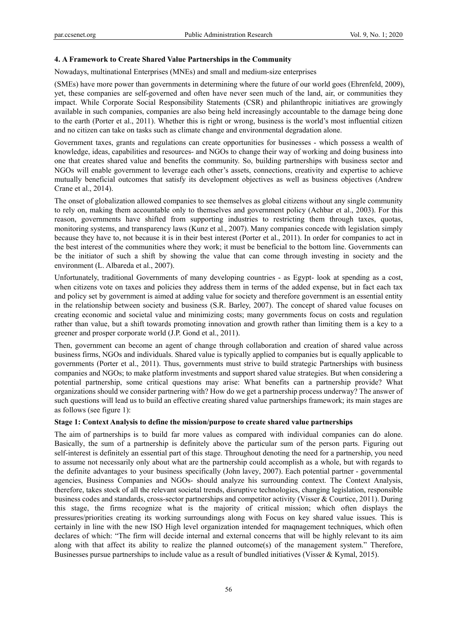## **4. A Framework to Create Shared Value Partnerships in the Community**

Nowadays, multinational Enterprises (MNEs) and small and medium-size enterprises

(SMEs) have more power than governments in determining where the future of our world goes (Ehrenfeld, 2009), yet, these companies are self-governed and often have never seen much of the land, air, or communities they impact. While Corporate Social Responsibility Statements (CSR) and philanthropic initiatives are growingly available in such companies, companies are also being held increasingly accountable to the damage being done to the earth (Porter et al., 2011). Whether this is right or wrong, business is the world's most influential citizen and no citizen can take on tasks such as climate change and environmental degradation alone.

Government taxes, grants and regulations can create opportunities for businesses - which possess a wealth of knowledge, ideas, capabilities and resources- and NGOs to change their way of working and doing business into one that creates shared value and benefits the community. So, building partnerships with business sector and NGOs will enable government to leverage each other's assets, connections, creativity and expertise to achieve mutually beneficial outcomes that satisfy its development objectives as well as business objectives (Andrew Crane et al., 2014).

The onset of globalization allowed companies to see themselves as global citizens without any single community to rely on, making them accountable only to themselves and government policy (Achbar et al., 2003). For this reason, governments have shifted from supporting industries to restricting them through taxes, quotas, monitoring systems, and transparency laws (Kunz et al., 2007). Many companies concede with legislation simply because they have to, not because it is in their best interest (Porter et al., 2011). In order for companies to act in the best interest of the communities where they work; it must be beneficial to the bottom line. Governments can be the initiator of such a shift by showing the value that can come through investing in society and the environment (L. Albareda et al., 2007).

Unfortunately, traditional Governments of many developing countries - as Egypt- look at spending as a cost, when citizens vote on taxes and policies they address them in terms of the added expense, but in fact each tax and policy set by government is aimed at adding value for society and therefore government is an essential entity in the relationship between society and business (S.R. Barley, 2007). The concept of shared value focuses on creating economic and societal value and minimizing costs; many governments focus on costs and regulation rather than value, but a shift towards promoting innovation and growth rather than limiting them is a key to a greener and prosper corporate world (J.P. Gond et al., 2011).

Then, government can become an agent of change through collaboration and creation of shared value across business firms, NGOs and individuals. Shared value is typically applied to companies but is equally applicable to governments (Porter et al., 2011). Thus, governments must strive to build strategic Partnerships with business companies and NGOs; to make platform investments and support shared value strategies. But when considering a potential partnership, some critical questions may arise: What benefits can a partnership provide? What organizations should we consider partnering with? How do we get a partnership process underway? The answer of such questions will lead us to build an effective creating shared value partnerships framework; its main stages are as follows (see figure 1):

#### **Stage 1: Context Analysis to define the mission/purpose to create shared value partnerships**

The aim of partnerships is to build far more values as compared with individual companies can do alone. Basically, the sum of a partnership is definitely above the particular sum of the person parts. Figuring out self-interest is definitely an essential part of this stage. Throughout denoting the need for a partnership, you need to assume not necessarily only about what are the partnership could accomplish as a whole, but with regards to the definite advantages to your business specifically (John lavey, 2007). Each potential partner - governmental agencies, Business Companies and NGOs- should analyze his surrounding context. The Context Analysis, therefore, takes stock of all the relevant societal trends, disruptive technologies, changing legislation, responsible business codes and standards, cross-sector partnerships and competitor activity (Visser & Courtice, 2011). During this stage, the firms recognize what is the majority of critical mission; which often displays the pressures/priorities creating its working surroundings along with Focus on key shared value issues. This is certainly in line with the new ISO High level organization intended for maqnagement techniques, which often declares of which: "The firm will decide internal and external concerns that will be highly relevant to its aim along with that affect its ability to realize the planned outcome(s) of the management system." Therefore, Businesses pursue partnerships to include value as a result of bundled initiatives (Visser & Kymal, 2015).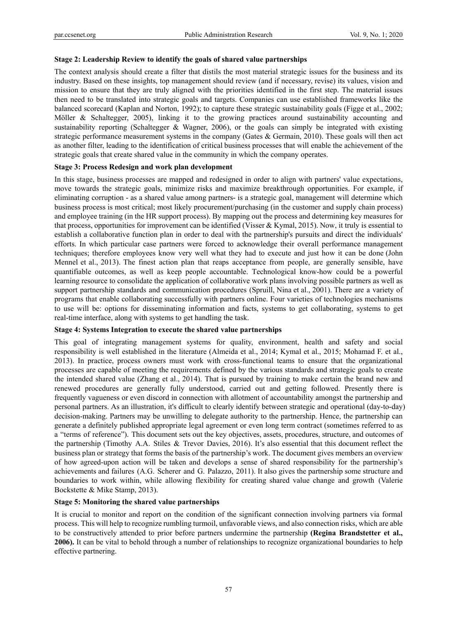#### **Stage 2: Leadership Review to identify the goals of shared value partnerships**

The context analysis should create a filter that distils the most material strategic issues for the business and its industry. Based on these insights, top management should review (and if necessary, revise) its values, vision and mission to ensure that they are truly aligned with the priorities identified in the first step. The material issues then need to be translated into strategic goals and targets. Companies can use established frameworks like the balanced scorecard (Kaplan and Norton, 1992); to capture these strategic sustainability goals (Figge et al., 2002; Möller & Schaltegger, 2005), linking it to the growing practices around sustainability accounting and sustainability reporting (Schaltegger & Wagner, 2006), or the goals can simply be integrated with existing strategic performance measurement systems in the company (Gates & Germain, 2010). These goals will then act as another filter, leading to the identification of critical business processes that will enable the achievement of the strategic goals that create shared value in the community in which the company operates.

## **Stage 3: Process Redesign and work plan development**

In this stage, business processes are mapped and redesigned in order to align with partners' value expectations, move towards the strategic goals, minimize risks and maximize breakthrough opportunities. For example, if eliminating corruption - as a shared value among partners- is a strategic goal, management will determine which business process is most critical; most likely procurement/purchasing (in the customer and supply chain process) and employee training (in the HR support process). By mapping out the process and determining key measures for that process, opportunities for improvement can be identified (Visser & Kymal, 2015). Now, it truly is essential to establish a collaborative function plan in order to deal with the partnership's pursuits and direct the individuals' efforts. In which particular case partners were forced to acknowledge their overall performance management techniques; therefore employees know very well what they had to execute and just how it can be done (John Mennel et al., 2013). The finest action plan that reaps acceptance from people, are generally sensible, have quantifiable outcomes, as well as keep people accountable. Technological know-how could be a powerful learning resource to consolidate the application of collaborative work plans involving possible partners as well as support partnership standards and communication procedures (Spruill, Nina et al., 2001). There are a variety of programs that enable collaborating successfully with partners online. Four varieties of technologies mechanisms to use will be: options for disseminating information and facts, systems to get collaborating, systems to get real-time interface, along with systems to get handling the task.

#### **Stage 4: Systems Integration to execute the shared value partnerships**

This goal of integrating management systems for quality, environment, health and safety and social responsibility is well established in the literature (Almeida et al., 2014; Kymal et al., 2015; Mohamad F. et al., 2013). In practice, process owners must work with cross-functional teams to ensure that the organizational processes are capable of meeting the requirements defined by the various standards and strategic goals to create the intended shared value (Zhang et al., 2014). That is pursued by training to make certain the brand new and renewed procedures are generally fully understood, carried out and getting followed. Presently there is frequently vagueness or even discord in connection with allotment of accountability amongst the partnership and personal partners. As an illustration, it's difficult to clearly identify between strategic and operational (day-to-day) decision-making. Partners may be unwilling to delegate authority to the partnership. Hence, the partnership can generate a definitely published appropriate legal agreement or even long term contract (sometimes referred to as a "terms of reference"). This document sets out the key objectives, assets, procedures, structure, and outcomes of the partnership (Timothy A.A. Stiles & Trevor Davies, 2016). It's also essential that this document reflect the business plan or strategy that forms the basis of the partnership's work. The document gives members an overview of how agreed-upon action will be taken and develops a sense of shared responsibility for the partnership's achievements and failures (A.G. Scherer and G. Palazzo, 2011). It also gives the partnership some structure and boundaries to work within, while allowing flexibility for creating shared value change and growth (Valerie Bockstette & Mike Stamp, 2013).

#### **Stage 5: Monitoring the shared value partnerships**

It is crucial to monitor and report on the condition of the significant connection involving partners via formal process. This will help to recognize rumbling turmoil, unfavorable views, and also connection risks, which are able to be constructively attended to prior before partners undermine the partnership **(Regina Brandstetter et al., 2006).** It can be vital to behold through a number of relationships to recognize organizational boundaries to help effective partnering.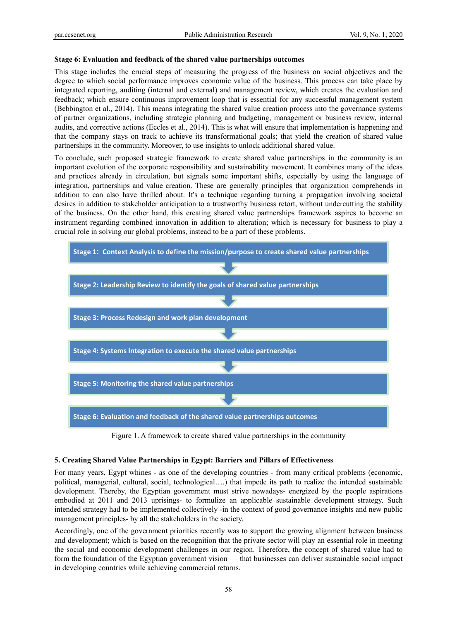#### **Stage 6: Evaluation and feedback of the shared value partnerships outcomes**

This stage includes the crucial steps of measuring the progress of the business on social objectives and the degree to which social performance improves economic value of the business. This process can take place by integrated reporting, auditing (internal and external) and management review, which creates the evaluation and feedback; which ensure continuous improvement loop that is essential for any successful management system (Bebbington et al., 2014). This means integrating the shared value creation process into the governance systems of partner organizations, including strategic planning and budgeting, management or business review, internal audits, and corrective actions (Eccles et al., 2014). This is what will ensure that implementation is happening and that the company stays on track to achieve its transformational goals; that yield the creation of shared value partnerships in the community. Moreover, to use insights to unlock additional shared value.

To conclude, such proposed strategic framework to create shared value partnerships in the community is an important evolution of the corporate responsibility and sustainability movement. It combines many of the ideas and practices already in circulation, but signals some important shifts, especially by using the language of integration, partnerships and value creation. These are generally principles that organization comprehends in addition to can also have thrilled about. It's a technique regarding turning a propagation involving societal desires in addition to stakeholder anticipation to a trustworthy business retort, without undercutting the stability of the business. On the other hand, this creating shared value partnerships framework aspires to become an instrument regarding combined innovation in addition to alteration; which is necessary for business to play a crucial role in solving our global problems, instead to be a part of these problems.



Figure 1. A framework to create shared value partnerships in the community

#### **5. Creating Shared Value Partnerships in Egypt: Barriers and Pillars of Effectiveness**

For many years, Egypt whines - as one of the developing countries - from many critical problems (economic, political, managerial, cultural, social, technological….) that impede its path to realize the intended sustainable development. Thereby, the Egyptian government must strive nowadays- energized by the people aspirations embodied at 2011 and 2013 uprisings- to formulize an applicable sustainable development strategy. Such intended strategy had to be implemented collectively -in the context of good governance insights and new public management principles- by all the stakeholders in the society.

Accordingly, one of the government priorities recently was to support the growing alignment between business and development; which is based on the recognition that the private sector will play an essential role in meeting the social and economic development challenges in our region. Therefore, the concept of shared value had to form the foundation of the Egyptian government vision — that businesses can deliver sustainable social impact in developing countries while achieving commercial returns.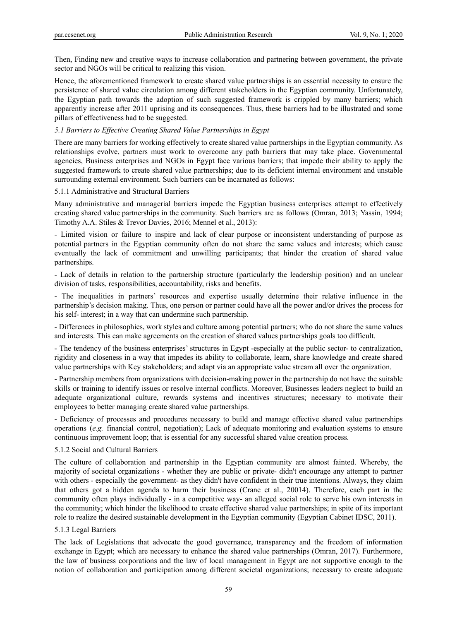Then, Finding new and creative ways to increase collaboration and partnering between government, the private sector and NGOs will be critical to realizing this vision.

Hence, the aforementioned framework to create shared value partnerships is an essential necessity to ensure the persistence of shared value circulation among different stakeholders in the Egyptian community. Unfortunately, the Egyptian path towards the adoption of such suggested framework is crippled by many barriers; which apparently increase after 2011 uprising and its consequences. Thus, these barriers had to be illustrated and some pillars of effectiveness had to be suggested.

#### *5.1 Barriers to Effective Creating Shared Value Partnerships in Egypt*

There are many barriers for working effectively to create shared value partnerships in the Egyptian community. As relationships evolve, partners must work to overcome any path barriers that may take place. Governmental agencies, Business enterprises and NGOs in Egypt face various barriers; that impede their ability to apply the suggested framework to create shared value partnerships; due to its deficient internal environment and unstable surrounding external environment. Such barriers can be incarnated as follows:

#### 5.1.1 Administrative and Structural Barriers

Many administrative and managerial barriers impede the Egyptian business enterprises attempt to effectively creating shared value partnerships in the community. Such barriers are as follows (Omran, 2013; Yassin, 1994; Timothy A.A. Stiles & Trevor Davies, 2016; Mennel et al., 2013):

- Limited vision or failure to inspire and lack of clear purpose or inconsistent understanding of purpose as potential partners in the Egyptian community often do not share the same values and interests; which cause eventually the lack of commitment and unwilling participants; that hinder the creation of shared value partnerships.

- Lack of details in relation to the partnership structure (particularly the leadership position) and an unclear division of tasks, responsibilities, accountability, risks and benefits.

- The inequalities in partners' resources and expertise usually determine their relative influence in the partnership's decision making. Thus, one person or partner could have all the power and/or drives the process for his self- interest; in a way that can undermine such partnership.

- Differences in philosophies, work styles and culture among potential partners; who do not share the same values and interests. This can make agreements on the creation of shared values partnerships goals too difficult.

- The tendency of the business enterprises' structures in Egypt -especially at the public sector- to centralization, rigidity and closeness in a way that impedes its ability to collaborate, learn, share knowledge and create shared value partnerships with Key stakeholders; and adapt via an appropriate value stream all over the organization.

- Partnership members from organizations with decision-making power in the partnership do not have the suitable skills or training to identify issues or resolve internal conflicts. Moreover, Businesses leaders neglect to build an adequate organizational culture, rewards systems and incentives structures; necessary to motivate their employees to better managing create shared value partnerships.

- Deficiency of processes and procedures necessary to build and manage effective shared value partnerships operations (*e.g.* financial control, negotiation); Lack of adequate monitoring and evaluation systems to ensure continuous improvement loop; that is essential for any successful shared value creation process.

#### 5.1.2 Social and Cultural Barriers

The culture of collaboration and partnership in the Egyptian community are almost fainted. Whereby, the majority of societal organizations - whether they are public or private- didn't encourage any attempt to partner with others - especially the government- as they didn't have confident in their true intentions. Always, they claim that others got a hidden agenda to harm their business (Crane et al., 20014). Therefore, each part in the community often plays individually - in a competitive way- an alleged social role to serve his own interests in the community; which hinder the likelihood to create effective shared value partnerships; in spite of its important role to realize the desired sustainable development in the Egyptian community (Egyptian Cabinet IDSC, 2011).

#### 5.1.3 Legal Barriers

The lack of Legislations that advocate the good governance, transparency and the freedom of information exchange in Egypt; which are necessary to enhance the shared value partnerships (Omran, 2017). Furthermore, the law of business corporations and the law of local management in Egypt are not supportive enough to the notion of collaboration and participation among different societal organizations; necessary to create adequate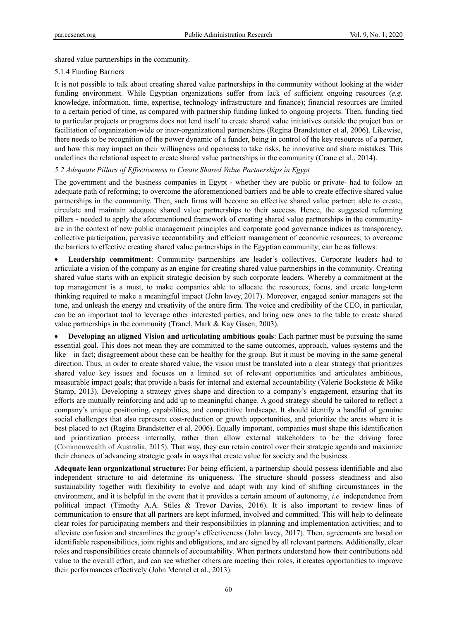shared value partnerships in the community.

#### 5.1.4 Funding Barriers

It is not possible to talk about creating shared value partnerships in the community without looking at the wider funding environment. While Egyptian organizations suffer from lack of sufficient ongoing resources (*e.g.*  knowledge, information, time, expertise, technology infrastructure and finance); financial resources are limited to a certain period of time, as compared with partnership funding linked to ongoing projects. Then, funding tied to particular projects or programs does not lend itself to create shared value initiatives outside the project box or facilitation of organization-wide or inter-organizational partnerships (Regina Brandstetter et al, 2006). Likewise, there needs to be recognition of the power dynamic of a funder, being in control of the key resources of a partner, and how this may impact on their willingness and openness to take risks, be innovative and share mistakes. This underlines the relational aspect to create shared value partnerships in the community (Crane et al., 2014).

# *5.2 Adequate Pillars of Effectiveness to Create Shared Value Partnerships in Egypt*

The government and the business companies in Egypt - whether they are public or private- had to follow an adequate path of reforming; to overcome the aforementioned barriers and be able to create effective shared value partnerships in the community. Then, such firms will become an effective shared value partner; able to create, circulate and maintain adequate shared value partnerships to their success. Hence, the suggested reforming pillars - needed to apply the aforementioned framework of creating shared value partnerships in the communityare in the context of new public management principles and corporate good governance indices as transparency, collective participation, pervasive accountability and efficient management of economic resources; to overcome the barriers to effective creating shared value partnerships in the Egyptian community; can be as follows:

 **Leadership commitment**: Community partnerships are leader's collectives. Corporate leaders had to articulate a vision of the company as an engine for creating shared value partnerships in the community. Creating shared value starts with an explicit strategic decision by such corporate leaders. Whereby a commitment at the top management is a must, to make companies able to allocate the resources, focus, and create long-term thinking required to make a meaningful impact (John lavey, 2017). Moreover, engaged senior managers set the tone, and unleash the energy and creativity of the entire firm. The voice and credibility of the CEO, in particular, can be an important tool to leverage other interested parties, and bring new ones to the table to create shared value partnerships in the community (Tranel, Mark & Kay Gasen, 2003).

 **Developing an aligned Vision and articulating ambitious goals**: Each partner must be pursuing the same essential goal. This does not mean they are committed to the same outcomes, approach, values systems and the like—in fact; disagreement about these can be healthy for the group. But it must be moving in the same general direction. Thus, in order to create shared value, the vision must be translated into a clear strategy that prioritizes shared value key issues and focuses on a limited set of relevant opportunities and articulates ambitious, measurable impact goals; that provide a basis for internal and external accountability (Valerie Bockstette & Mike Stamp, 2013). Developing a strategy gives shape and direction to a company's engagement, ensuring that its efforts are mutually reinforcing and add up to meaningful change. A good strategy should be tailored to reflect a company's unique positioning, capabilities, and competitive landscape. It should identify a handful of genuine social challenges that also represent cost-reduction or growth opportunities, and prioritize the areas where it is best placed to act (Regina Brandstetter et al, 2006). Equally important, companies must shape this identification and prioritization process internally, rather than allow external stakeholders to be the driving force (Commonwealth of Australia, 2015). That way, they can retain control over their strategic agenda and maximize their chances of advancing strategic goals in ways that create value for society and the business.

**Adequate lean organizational structure:** For being efficient, a partnership should possess identifiable and also independent structure to aid determine its uniqueness. The structure should possess steadiness and also sustainability together with flexibility to evolve and adapt with any kind of shifting circumstances in the environment, and it is helpful in the event that it provides a certain amount of autonomy, *i.e.* independence from political impact (Timothy A.A. Stiles & Trevor Davies, 2016). It is also important to review lines of communication to ensure that all partners are kept informed, involved and committed. This will help to delineate clear roles for participating members and their responsibilities in planning and implementation activities; and to alleviate confusion and streamlines the group's effectiveness (John lavey, 2017). Then, agreements are based on identifiable responsibilities, joint rights and obligations, and are signed by all relevant partners. Additionally, clear roles and responsibilities create channels of accountability. When partners understand how their contributions add value to the overall effort, and can see whether others are meeting their roles, it creates opportunities to improve their performances effectively (John Mennel et al., 2013).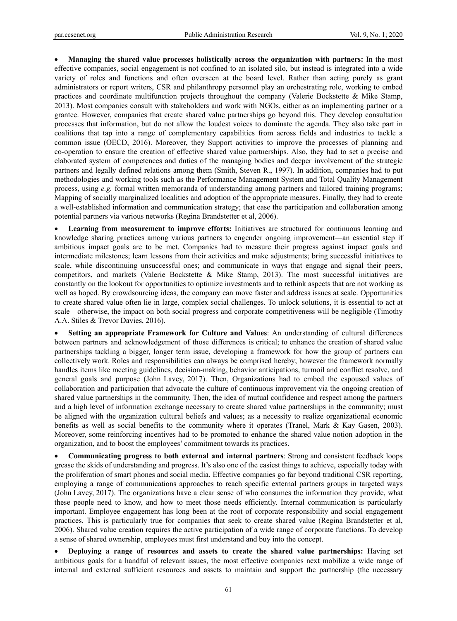**Managing the shared value processes holistically across the organization with partners:** In the most effective companies, social engagement is not confined to an isolated silo, but instead is integrated into a wide variety of roles and functions and often overseen at the board level. Rather than acting purely as grant administrators or report writers, CSR and philanthropy personnel play an orchestrating role, working to embed practices and coordinate multifunction projects throughout the company (Valerie Bockstette & Mike Stamp, 2013). Most companies consult with stakeholders and work with NGOs, either as an implementing partner or a grantee. However, companies that create shared value partnerships go beyond this. They develop consultation processes that information, but do not allow the loudest voices to dominate the agenda. They also take part in coalitions that tap into a range of complementary capabilities from across fields and industries to tackle a common issue (OECD, 2016). Moreover, they Support activities to improve the processes of planning and co-operation to ensure the creation of effective shared value partnerships. Also, they had to set a precise and elaborated system of competences and duties of the managing bodies and deeper involvement of the strategic partners and legally defined relations among them (Smith, Steven R., 1997). In addition, companies had to put methodologies and working tools such as the Performance Management System and Total Quality Management process, using *e.g.* formal written memoranda of understanding among partners and tailored training programs; Mapping of socially marginalized localities and adoption of the appropriate measures. Finally, they had to create a well-established information and communication strategy; that ease the participation and collaboration among potential partners via various networks (Regina Brandstetter et al, 2006).

 **Learning from measurement to improve efforts:** Initiatives are structured for continuous learning and knowledge sharing practices among various partners to engender ongoing improvement—an essential step if ambitious impact goals are to be met. Companies had to measure their progress against impact goals and intermediate milestones; learn lessons from their activities and make adjustments; bring successful initiatives to scale, while discontinuing unsuccessful ones; and communicate in ways that engage and signal their peers, competitors, and markets (Valerie Bockstette & Mike Stamp, 2013). The most successful initiatives are constantly on the lookout for opportunities to optimize investments and to rethink aspects that are not working as well as hoped. By crowdsourcing ideas, the company can move faster and address issues at scale. Opportunities to create shared value often lie in large, complex social challenges. To unlock solutions, it is essential to act at scale—otherwise, the impact on both social progress and corporate competitiveness will be negligible (Timothy A.A. Stiles & Trevor Davies, 2016).

 **Setting an appropriate Framework for Culture and Values**: An understanding of cultural differences between partners and acknowledgement of those differences is critical; to enhance the creation of shared value partnerships tackling a bigger, longer term issue, developing a framework for how the group of partners can collectively work. Roles and responsibilities can always be comprised hereby; however the framework normally handles items like meeting guidelines, decision-making, behavior anticipations, turmoil and conflict resolve, and general goals and purpose (John Lavey, 2017). Then, Organizations had to embed the espoused values of collaboration and participation that advocate the culture of continuous improvement via the ongoing creation of shared value partnerships in the community. Then, the idea of mutual confidence and respect among the partners and a high level of information exchange necessary to create shared value partnerships in the community; must be aligned with the organization cultural beliefs and values; as a necessity to realize organizational economic benefits as well as social benefits to the community where it operates (Tranel, Mark & Kay Gasen, 2003). Moreover, some reinforcing incentives had to be promoted to enhance the shared value notion adoption in the organization, and to boost the employees' commitment towards its practices.

 **Communicating progress to both external and internal partners**: Strong and consistent feedback loops grease the skids of understanding and progress. It's also one of the easiest things to achieve, especially today with the proliferation of smart phones and social media. Effective companies go far beyond traditional CSR reporting, employing a range of communications approaches to reach specific external partners groups in targeted ways (John Lavey, 2017). The organizations have a clear sense of who consumes the information they provide, what these people need to know, and how to meet those needs efficiently. Internal communication is particularly important. Employee engagement has long been at the root of corporate responsibility and social engagement practices. This is particularly true for companies that seek to create shared value (Regina Brandstetter et al, 2006). Shared value creation requires the active participation of a wide range of corporate functions. To develop a sense of shared ownership, employees must first understand and buy into the concept.

• Deploying a range of resources and assets to create the shared value partnerships: Having set ambitious goals for a handful of relevant issues, the most effective companies next mobilize a wide range of internal and external sufficient resources and assets to maintain and support the partnership (the necessary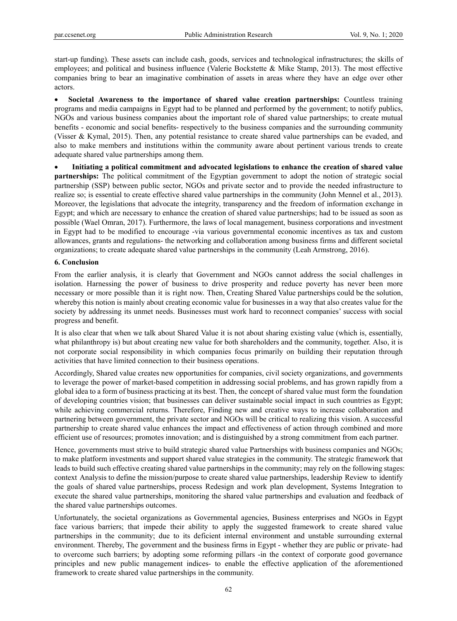start-up funding). These assets can include cash, goods, services and technological infrastructures; the skills of employees; and political and business influence (Valerie Bockstette & Mike Stamp, 2013). The most effective companies bring to bear an imaginative combination of assets in areas where they have an edge over other actors.

 **Societal Awareness to the importance of shared value creation partnerships:** Countless training programs and media campaigns in Egypt had to be planned and performed by the government; to notify publics, NGOs and various business companies about the important role of shared value partnerships; to create mutual benefits - economic and social benefits- respectively to the business companies and the surrounding community (Visser & Kymal, 2015). Then, any potential resistance to create shared value partnerships can be evaded, and also to make members and institutions within the community aware about pertinent various trends to create adequate shared value partnerships among them.

 **Initiating a political commitment and advocated legislations to enhance the creation of shared value partnerships:** The political commitment of the Egyptian government to adopt the notion of strategic social partnership (SSP) between public sector, NGOs and private sector and to provide the needed infrastructure to realize so; is essential to create effective shared value partnerships in the community (John Mennel et al., 2013). Moreover, the legislations that advocate the integrity, transparency and the freedom of information exchange in Egypt; and which are necessary to enhance the creation of shared value partnerships; had to be issued as soon as possible (Wael Omran, 2017). Furthermore, the laws of local management, business corporations and investment in Egypt had to be modified to encourage -via various governmental economic incentives as tax and custom allowances, grants and regulations- the networking and collaboration among business firms and different societal organizations; to create adequate shared value partnerships in the community (Leah Armstrong, 2016).

#### **6. Conclusion**

From the earlier analysis, it is clearly that Government and NGOs cannot address the social challenges in isolation. Harnessing the power of business to drive prosperity and reduce poverty has never been more necessary or more possible than it is right now. Then, Creating Shared Value partnerships could be the solution, whereby this notion is mainly about creating economic value for businesses in a way that also creates value for the society by addressing its unmet needs. Businesses must work hard to reconnect companies' success with social progress and benefit.

It is also clear that when we talk about Shared Value it is not about sharing existing value (which is, essentially, what philanthropy is) but about creating new value for both shareholders and the community, together. Also, it is not corporate social responsibility in which companies focus primarily on building their reputation through activities that have limited connection to their business operations.

Accordingly, Shared value creates new opportunities for companies, civil society organizations, and governments to leverage the power of market-based competition in addressing social problems, and has grown rapidly from a global idea to a form of business practicing at its best. Then, the concept of shared value must form the foundation of developing countries vision; that businesses can deliver sustainable social impact in such countries as Egypt; while achieving commercial returns. Therefore, Finding new and creative ways to increase collaboration and partnering between government, the private sector and NGOs will be critical to realizing this vision. A successful partnership to create shared value enhances the impact and effectiveness of action through combined and more efficient use of resources; promotes innovation; and is distinguished by a strong commitment from each partner.

Hence, governments must strive to build strategic shared value Partnerships with business companies and NGOs; to make platform investments and support shared value strategies in the community. The strategic framework that leads to build such effective creating shared value partnerships in the community; may rely on the following stages: context Analysis to define the mission/purpose to create shared value partnerships, leadership Review to identify the goals of shared value partnerships, process Redesign and work plan development, Systems Integration to execute the shared value partnerships, monitoring the shared value partnerships and evaluation and feedback of the shared value partnerships outcomes.

Unfortunately, the societal organizations as Governmental agencies, Business enterprises and NGOs in Egypt face various barriers; that impede their ability to apply the suggested framework to create shared value partnerships in the community; due to its deficient internal environment and unstable surrounding external environment. Thereby, The government and the business firms in Egypt - whether they are public or private- had to overcome such barriers; by adopting some reforming pillars -in the context of corporate good governance principles and new public management indices- to enable the effective application of the aforementioned framework to create shared value partnerships in the community.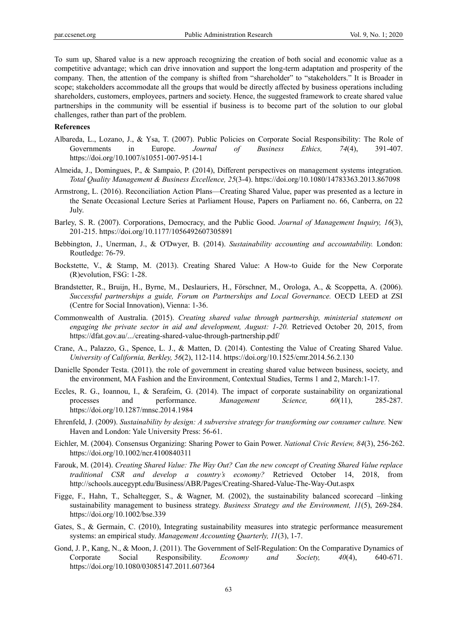To sum up, Shared value is a new approach recognizing the creation of both social and economic value as a competitive advantage; which can drive innovation and support the long-term adaptation and prosperity of the company. Then, the attention of the company is shifted from "shareholder" to "stakeholders." It is Broader in scope; stakeholders accommodate all the groups that would be directly affected by business operations including shareholders, customers, employees, partners and society. Hence, the suggested framework to create shared value partnerships in the community will be essential if business is to become part of the solution to our global challenges, rather than part of the problem.

#### **References**

- Albareda, L., Lozano, J., & Ysa, T. (2007). Public Policies on Corporate Social Responsibility: The Role of Governments in Europe. *Journal of Business Ethics, 74*(4), 391-407. https://doi.org/10.1007/s10551-007-9514-1
- Almeida, J., Domingues, P., & Sampaio, P. (2014), Different perspectives on management systems integration. *Total Quality Management & Business Excellence, 25*(3-4). https://doi.org/10.1080/14783363.2013.867098
- Armstrong, L. (2016). Reconciliation Action Plans—Creating Shared Value, paper was presented as a lecture in the Senate Occasional Lecture Series at Parliament House, Papers on Parliament no. 66, Canberra, on 22 July.
- Barley, S. R. (2007). Corporations, Democracy, and the Public Good. *Journal of Management Inquiry, 16*(3), 201-215. https://doi.org/10.1177/1056492607305891
- Bebbington, J., Unerman, J., & O'Dwyer, B. (2014). *Sustainability accounting and accountability.* London: Routledge: 76-79.
- Bockstette, V., & Stamp, M. (2013). Creating Shared Value: A How-to Guide for the New Corporate (R)evolution, FSG: 1-28.
- Brandstetter, R., Bruijn, H., Byrne, M., Deslauriers, H., Förschner, M., Orologa, A., & Scoppetta, A. (2006). *Successful partnerships a guide, Forum on Partnerships and Local Governance.* OECD LEED at ZSI (Centre for Social Innovation), Vienna: 1-36.
- Commonwealth of Australia. (2015). *Creating shared value through partnership, ministerial statement on engaging the private sector in aid and development, August: 1-20.* Retrieved October 20, 2015, from https://dfat.gov.au/.../creating-shared-value-through-partnership.pdf/
- Crane, A., Palazzo, G., Spence, L. J., & Matten, D. (2014). Contesting the Value of Creating Shared Value. *University of California, Berkley, 56*(2), 112-114. https://doi.org/10.1525/cmr.2014.56.2.130
- Danielle Sponder Testa. (2011). the role of government in creating shared value between business, society, and the environment, MA Fashion and the Environment, Contextual Studies, Terms 1 and 2, March:1-17.
- Eccles, R. G., Ioannou, I., & Serafeim, G. (2014). The impact of corporate sustainability on organizational processes and performance. *Management Science, 60*(11), 285-287. https://doi.org/10.1287/mnsc.2014.1984
- Ehrenfeld, J. (2009). *Sustainability by design: A subversive strategy for transforming our consumer culture.* New Haven and London: Yale University Press: 56-61.
- Eichler, M. (2004). Consensus Organizing: Sharing Power to Gain Power. *National Civic Review, 84*(3), 256-262. https://doi.org/10.1002/ncr.4100840311
- Farouk, M. (2014). *Creating Shared Value: The Way Out? Can the new concept of Creating Shared Value replace traditional CSR and develop a country's economy?* Retrieved October 14, 2018, from http://schools.aucegypt.edu/Business/ABR/Pages/Creating-Shared-Value-The-Way-Out.aspx
- Figge, F., Hahn, T., Schaltegger, S., & Wagner, M. (2002), the sustainability balanced scorecard –linking sustainability management to business strategy. *Business Strategy and the Environment, 11*(5), 269-284. https://doi.org/10.1002/bse.339
- Gates, S., & Germain, C. (2010), Integrating sustainability measures into strategic performance measurement systems: an empirical study. *Management Accounting Quarterly, 11*(3), 1-7.
- Gond, J. P., Kang, N., & Moon, J. (2011). The Government of Self-Regulation: On the Comparative Dynamics of Corporate Social Responsibility. *Economy and Society, 40*(4), 640-671. https://doi.org/10.1080/03085147.2011.607364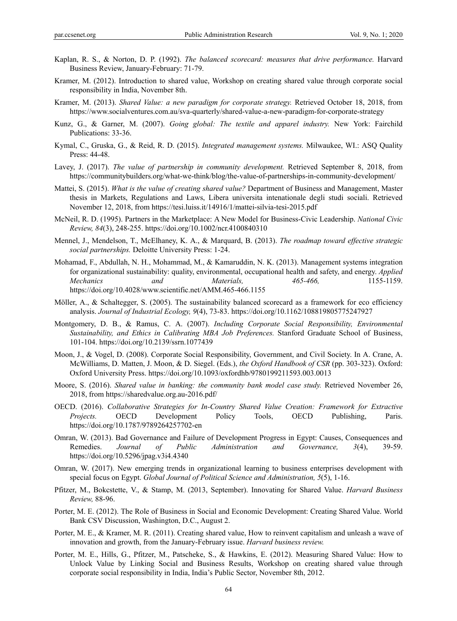- Kaplan, R. S., & Norton, D. P. (1992). *The balanced scorecard: measures that drive performance.* Harvard Business Review, January-February: 71-79.
- Kramer, M. (2012). Introduction to shared value, Workshop on creating shared value through corporate social responsibility in India, November 8th.
- Kramer, M. (2013). *Shared Value: a new paradigm for corporate strategy.* Retrieved October 18, 2018, from https://www.socialventures.com.au/sva-quarterly/shared-value-a-new-paradigm-for-corporate-strategy
- Kunz, G., & Garner, M. (2007). *Going global: The textile and apparel industry.* New York: Fairchild Publications: 33-36.
- Kymal, C., Gruska, G., & Reid, R. D. (2015). *Integrated management systems.* Milwaukee, WI.: ASQ Quality Press: 44-48.
- Lavey, J. (2017). *The value of partnership in community development.* Retrieved September 8, 2018, from https://communitybuilders.org/what-we-think/blog/the-value-of-partnerships-in-community-development/
- Mattei, S. (2015). *What is the value of creating shared value?* Department of Business and Management, Master thesis in Markets, Regulations and Laws, Libera universita intenationale degli studi sociali. Retrieved November 12, 2018, from https://tesi.luiss.it/14916/1/mattei-silvia-tesi-2015.pdf
- McNeil, R. D. (1995). Partners in the Marketplace: A New Model for Business-Civic Leadership. *National Civic Review, 84*(3), 248-255. https://doi.org/10.1002/ncr.4100840310
- Mennel, J., Mendelson, T., McElhaney, K. A., & Marquard, B. (2013). *The roadmap toward effective strategic social partnerships.* Deloitte University Press: 1-24.
- Mohamad, F., Abdullah, N. H., Mohammad, M., & Kamaruddin, N. K. (2013). Management systems integration for organizational sustainability: quality, environmental, occupational health and safety, and energy. *Applied Mechanics and Materials, 465-466,* 1155-1159. https://doi.org/10.4028/www.scientific.net/AMM.465-466.1155
- Möller, A., & Schaltegger, S. (2005). The sustainability balanced scorecard as a framework for eco efficiency analysis. *Journal of Industrial Ecology, 9*(4), 73-83. https://doi.org/10.1162/108819805775247927
- Montgomery, D. B., & Ramus, C. A. (2007). *Including Corporate Social Responsibility, Environmental Sustainability, and Ethics in Calibrating MBA Job Preferences.* Stanford Graduate School of Business, 101-104. https://doi.org/10.2139/ssrn.1077439
- Moon, J., & Vogel, D. (2008). Corporate Social Responsibility, Government, and Civil Society. In A. Crane, A. McWilliams, D. Matten, J. Moon, & D. Siegel. (Eds.), *the Oxford Handbook of CSR* (pp. 303-323). Oxford: Oxford University Press. https://doi.org/10.1093/oxfordhb/9780199211593.003.0013
- Moore, S. (2016). *Shared value in banking: the community bank model case study.* Retrieved November 26, 2018, from https://sharedvalue.org.au-2016.pdf/
- OECD. (2016). *Collaborative Strategies for In-Country Shared Value Creation: Framework for Extractive Projects.* OECD Development Policy Tools, OECD Publishing, Paris. https://doi.org/10.1787/9789264257702-en
- Omran, W. (2013). Bad Governance and Failure of Development Progress in Egypt: Causes, Consequences and Remedies. *Journal of Public Administration and Governance, 3*(4), 39-59. https://doi.org/10.5296/jpag.v3i4.4340
- Omran, W. (2017). New emerging trends in organizational learning to business enterprises development with special focus on Egypt. *Global Journal of Political Science and Administration, 5*(5), 1-16.
- Pfitzer, M., Bokcstette, V., & Stamp, M. (2013, September). Innovating for Shared Value. *Harvard Business Review,* 88-96.
- Porter, M. E. (2012). The Role of Business in Social and Economic Development: Creating Shared Value. World Bank CSV Discussion, Washington, D.C., August 2.
- Porter, M. E., & Kramer, M. R. (2011). Creating shared value, How to reinvent capitalism and unleash a wave of innovation and growth, from the January-February issue. *Harvard business review.*
- Porter, M. E., Hills, G., Pfitzer, M., Patscheke, S., & Hawkins, E. (2012). Measuring Shared Value: How to Unlock Value by Linking Social and Business Results, Workshop on creating shared value through corporate social responsibility in India, India's Public Sector, November 8th, 2012.